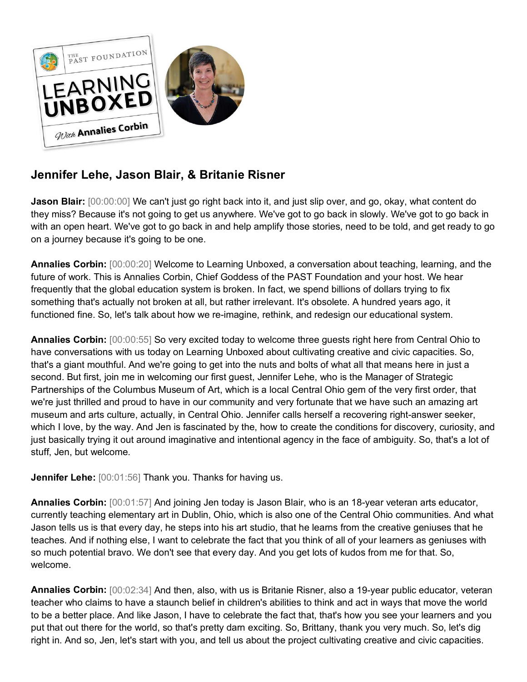

## **Jennifer Lehe, Jason Blair, & Britanie Risner**

**Jason Blair:** [00:00:00] We can't just go right back into it, and just slip over, and go, okay, what content do they miss? Because it's not going to get us anywhere. We've got to go back in slowly. We've got to go back in with an open heart. We've got to go back in and help amplify those stories, need to be told, and get ready to go on a journey because it's going to be one.

**Annalies Corbin:** [00:00:20] Welcome to Learning Unboxed, a conversation about teaching, learning, and the future of work. This is Annalies Corbin, Chief Goddess of the PAST Foundation and your host. We hear frequently that the global education system is broken. In fact, we spend billions of dollars trying to fix something that's actually not broken at all, but rather irrelevant. It's obsolete. A hundred years ago, it functioned fine. So, let's talk about how we re-imagine, rethink, and redesign our educational system.

**Annalies Corbin:** [00:00:55] So very excited today to welcome three guests right here from Central Ohio to have conversations with us today on Learning Unboxed about cultivating creative and civic capacities. So, that's a giant mouthful. And we're going to get into the nuts and bolts of what all that means here in just a second. But first, join me in welcoming our first guest, Jennifer Lehe, who is the Manager of Strategic Partnerships of the Columbus Museum of Art, which is a local Central Ohio gem of the very first order, that we're just thrilled and proud to have in our community and very fortunate that we have such an amazing art museum and arts culture, actually, in Central Ohio. Jennifer calls herself a recovering right-answer seeker, which I love, by the way. And Jen is fascinated by the, how to create the conditions for discovery, curiosity, and just basically trying it out around imaginative and intentional agency in the face of ambiguity. So, that's a lot of stuff, Jen, but welcome.

**Jennifer Lehe:** [00:01:56] Thank you. Thanks for having us.

**Annalies Corbin:** [00:01:57] And joining Jen today is Jason Blair, who is an 18-year veteran arts educator, currently teaching elementary art in Dublin, Ohio, which is also one of the Central Ohio communities. And what Jason tells us is that every day, he steps into his art studio, that he learns from the creative geniuses that he teaches. And if nothing else, I want to celebrate the fact that you think of all of your learners as geniuses with so much potential bravo. We don't see that every day. And you get lots of kudos from me for that. So, welcome.

**Annalies Corbin:** [00:02:34] And then, also, with us is Britanie Risner, also a 19-year public educator, veteran teacher who claims to have a staunch belief in children's abilities to think and act in ways that move the world to be a better place. And like Jason, I have to celebrate the fact that, that's how you see your learners and you put that out there for the world, so that's pretty darn exciting. So, Brittany, thank you very much. So, let's dig right in. And so, Jen, let's start with you, and tell us about the project cultivating creative and civic capacities.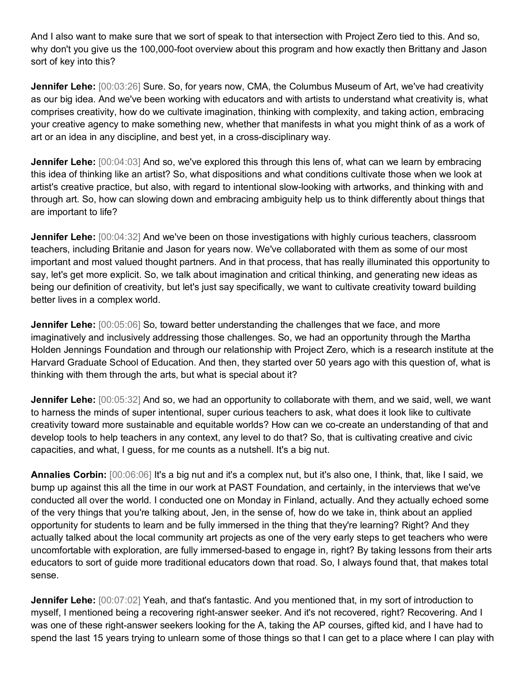And I also want to make sure that we sort of speak to that intersection with Project Zero tied to this. And so, why don't you give us the 100,000-foot overview about this program and how exactly then Brittany and Jason sort of key into this?

**Jennifer Lehe:** [00:03:26] Sure. So, for years now, CMA, the Columbus Museum of Art, we've had creativity as our big idea. And we've been working with educators and with artists to understand what creativity is, what comprises creativity, how do we cultivate imagination, thinking with complexity, and taking action, embracing your creative agency to make something new, whether that manifests in what you might think of as a work of art or an idea in any discipline, and best yet, in a cross-disciplinary way.

**Jennifer Lehe:** [00:04:03] And so, we've explored this through this lens of, what can we learn by embracing this idea of thinking like an artist? So, what dispositions and what conditions cultivate those when we look at artist's creative practice, but also, with regard to intentional slow-looking with artworks, and thinking with and through art. So, how can slowing down and embracing ambiguity help us to think differently about things that are important to life?

**Jennifer Lehe:**  $[00:04:32]$  And we've been on those investigations with highly curious teachers, classroom teachers, including Britanie and Jason for years now. We've collaborated with them as some of our most important and most valued thought partners. And in that process, that has really illuminated this opportunity to say, let's get more explicit. So, we talk about imagination and critical thinking, and generating new ideas as being our definition of creativity, but let's just say specifically, we want to cultivate creativity toward building better lives in a complex world.

**Jennifer Lehe:** [00:05:06] So, toward better understanding the challenges that we face, and more imaginatively and inclusively addressing those challenges. So, we had an opportunity through the Martha Holden Jennings Foundation and through our relationship with Project Zero, which is a research institute at the Harvard Graduate School of Education. And then, they started over 50 years ago with this question of, what is thinking with them through the arts, but what is special about it?

**Jennifer Lehe:** [00:05:32] And so, we had an opportunity to collaborate with them, and we said, well, we want to harness the minds of super intentional, super curious teachers to ask, what does it look like to cultivate creativity toward more sustainable and equitable worlds? How can we co-create an understanding of that and develop tools to help teachers in any context, any level to do that? So, that is cultivating creative and civic capacities, and what, I guess, for me counts as a nutshell. It's a big nut.

**Annalies Corbin:** [00:06:06] It's a big nut and it's a complex nut, but it's also one, I think, that, like I said, we bump up against this all the time in our work at PAST Foundation, and certainly, in the interviews that we've conducted all over the world. I conducted one on Monday in Finland, actually. And they actually echoed some of the very things that you're talking about, Jen, in the sense of, how do we take in, think about an applied opportunity for students to learn and be fully immersed in the thing that they're learning? Right? And they actually talked about the local community art projects as one of the very early steps to get teachers who were uncomfortable with exploration, are fully immersed-based to engage in, right? By taking lessons from their arts educators to sort of guide more traditional educators down that road. So, I always found that, that makes total sense.

**Jennifer Lehe:** [00:07:02] Yeah, and that's fantastic. And you mentioned that, in my sort of introduction to myself, I mentioned being a recovering right-answer seeker. And it's not recovered, right? Recovering. And I was one of these right-answer seekers looking for the A, taking the AP courses, gifted kid, and I have had to spend the last 15 years trying to unlearn some of those things so that I can get to a place where I can play with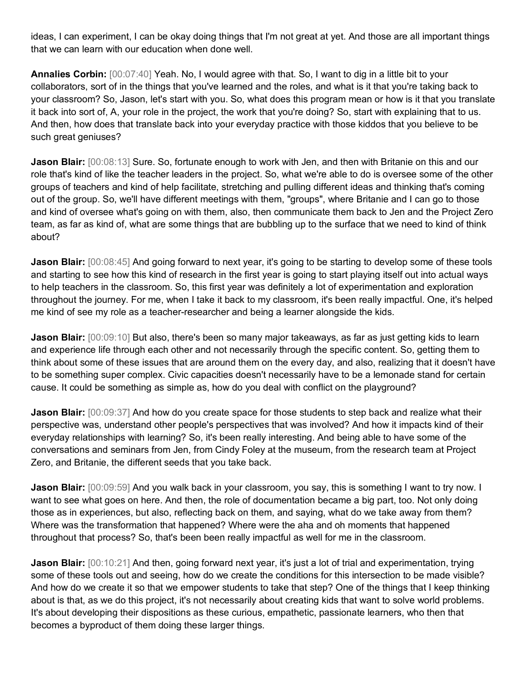ideas, I can experiment, I can be okay doing things that I'm not great at yet. And those are all important things that we can learn with our education when done well.

**Annalies Corbin:** [00:07:40] Yeah. No, I would agree with that. So, I want to dig in a little bit to your collaborators, sort of in the things that you've learned and the roles, and what is it that you're taking back to your classroom? So, Jason, let's start with you. So, what does this program mean or how is it that you translate it back into sort of, A, your role in the project, the work that you're doing? So, start with explaining that to us. And then, how does that translate back into your everyday practice with those kiddos that you believe to be such great geniuses?

**Jason Blair:** [00:08:13] Sure. So, fortunate enough to work with Jen, and then with Britanie on this and our role that's kind of like the teacher leaders in the project. So, what we're able to do is oversee some of the other groups of teachers and kind of help facilitate, stretching and pulling different ideas and thinking that's coming out of the group. So, we'll have different meetings with them, "groups", where Britanie and I can go to those and kind of oversee what's going on with them, also, then communicate them back to Jen and the Project Zero team, as far as kind of, what are some things that are bubbling up to the surface that we need to kind of think about?

**Jason Blair:** [00:08:45] And going forward to next year, it's going to be starting to develop some of these tools and starting to see how this kind of research in the first year is going to start playing itself out into actual ways to help teachers in the classroom. So, this first year was definitely a lot of experimentation and exploration throughout the journey. For me, when I take it back to my classroom, it's been really impactful. One, it's helped me kind of see my role as a teacher-researcher and being a learner alongside the kids.

**Jason Blair:** [00:09:10] But also, there's been so many major takeaways, as far as just getting kids to learn and experience life through each other and not necessarily through the specific content. So, getting them to think about some of these issues that are around them on the every day, and also, realizing that it doesn't have to be something super complex. Civic capacities doesn't necessarily have to be a lemonade stand for certain cause. It could be something as simple as, how do you deal with conflict on the playground?

**Jason Blair:** [00:09:37] And how do you create space for those students to step back and realize what their perspective was, understand other people's perspectives that was involved? And how it impacts kind of their everyday relationships with learning? So, it's been really interesting. And being able to have some of the conversations and seminars from Jen, from Cindy Foley at the museum, from the research team at Project Zero, and Britanie, the different seeds that you take back.

**Jason Blair:** [00:09:59] And you walk back in your classroom, you say, this is something I want to try now. I want to see what goes on here. And then, the role of documentation became a big part, too. Not only doing those as in experiences, but also, reflecting back on them, and saying, what do we take away from them? Where was the transformation that happened? Where were the aha and oh moments that happened throughout that process? So, that's been been really impactful as well for me in the classroom.

**Jason Blair:** [00:10:21] And then, going forward next year, it's just a lot of trial and experimentation, trying some of these tools out and seeing, how do we create the conditions for this intersection to be made visible? And how do we create it so that we empower students to take that step? One of the things that I keep thinking about is that, as we do this project, it's not necessarily about creating kids that want to solve world problems. It's about developing their dispositions as these curious, empathetic, passionate learners, who then that becomes a byproduct of them doing these larger things.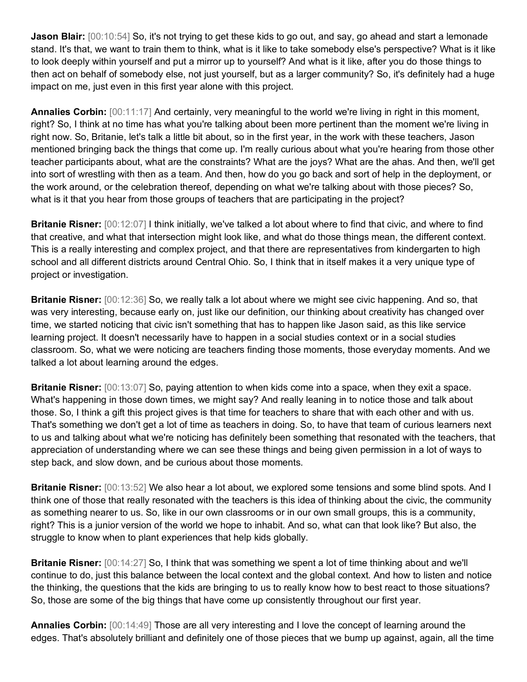**Jason Blair:** [00:10:54] So, it's not trying to get these kids to go out, and say, go ahead and start a lemonade stand. It's that, we want to train them to think, what is it like to take somebody else's perspective? What is it like to look deeply within yourself and put a mirror up to yourself? And what is it like, after you do those things to then act on behalf of somebody else, not just yourself, but as a larger community? So, it's definitely had a huge impact on me, just even in this first year alone with this project.

**Annalies Corbin:** [00:11:17] And certainly, very meaningful to the world we're living in right in this moment, right? So, I think at no time has what you're talking about been more pertinent than the moment we're living in right now. So, Britanie, let's talk a little bit about, so in the first year, in the work with these teachers, Jason mentioned bringing back the things that come up. I'm really curious about what you're hearing from those other teacher participants about, what are the constraints? What are the joys? What are the ahas. And then, we'll get into sort of wrestling with then as a team. And then, how do you go back and sort of help in the deployment, or the work around, or the celebration thereof, depending on what we're talking about with those pieces? So, what is it that you hear from those groups of teachers that are participating in the project?

**Britanie Risner:** [00:12:07] I think initially, we've talked a lot about where to find that civic, and where to find that creative, and what that intersection might look like, and what do those things mean, the different context. This is a really interesting and complex project, and that there are representatives from kindergarten to high school and all different districts around Central Ohio. So, I think that in itself makes it a very unique type of project or investigation.

**Britanie Risner:** [00:12:36] So, we really talk a lot about where we might see civic happening. And so, that was very interesting, because early on, just like our definition, our thinking about creativity has changed over time, we started noticing that civic isn't something that has to happen like Jason said, as this like service learning project. It doesn't necessarily have to happen in a social studies context or in a social studies classroom. So, what we were noticing are teachers finding those moments, those everyday moments. And we talked a lot about learning around the edges.

**Britanie Risner:** [00:13:07] So, paying attention to when kids come into a space, when they exit a space. What's happening in those down times, we might say? And really leaning in to notice those and talk about those. So, I think a gift this project gives is that time for teachers to share that with each other and with us. That's something we don't get a lot of time as teachers in doing. So, to have that team of curious learners next to us and talking about what we're noticing has definitely been something that resonated with the teachers, that appreciation of understanding where we can see these things and being given permission in a lot of ways to step back, and slow down, and be curious about those moments.

**Britanie Risner:** [00:13:52] We also hear a lot about, we explored some tensions and some blind spots. And I think one of those that really resonated with the teachers is this idea of thinking about the civic, the community as something nearer to us. So, like in our own classrooms or in our own small groups, this is a community, right? This is a junior version of the world we hope to inhabit. And so, what can that look like? But also, the struggle to know when to plant experiences that help kids globally.

**Britanie Risner:** [00:14:27] So, I think that was something we spent a lot of time thinking about and we'll continue to do, just this balance between the local context and the global context. And how to listen and notice the thinking, the questions that the kids are bringing to us to really know how to best react to those situations? So, those are some of the big things that have come up consistently throughout our first year.

**Annalies Corbin:** [00:14:49] Those are all very interesting and I love the concept of learning around the edges. That's absolutely brilliant and definitely one of those pieces that we bump up against, again, all the time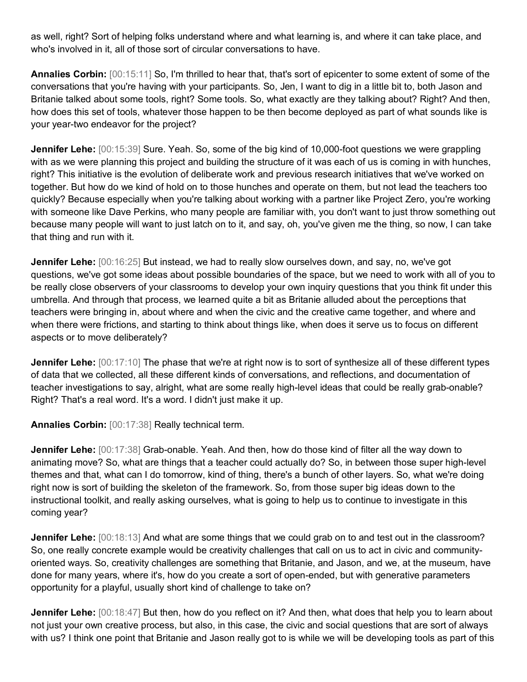as well, right? Sort of helping folks understand where and what learning is, and where it can take place, and who's involved in it, all of those sort of circular conversations to have.

**Annalies Corbin:** [00:15:11] So, I'm thrilled to hear that, that's sort of epicenter to some extent of some of the conversations that you're having with your participants. So, Jen, I want to dig in a little bit to, both Jason and Britanie talked about some tools, right? Some tools. So, what exactly are they talking about? Right? And then, how does this set of tools, whatever those happen to be then become deployed as part of what sounds like is your year-two endeavor for the project?

**Jennifer Lehe:** [00:15:39] Sure. Yeah. So, some of the big kind of 10,000-foot questions we were grappling with as we were planning this project and building the structure of it was each of us is coming in with hunches, right? This initiative is the evolution of deliberate work and previous research initiatives that we've worked on together. But how do we kind of hold on to those hunches and operate on them, but not lead the teachers too quickly? Because especially when you're talking about working with a partner like Project Zero, you're working with someone like Dave Perkins, who many people are familiar with, you don't want to just throw something out because many people will want to just latch on to it, and say, oh, you've given me the thing, so now, I can take that thing and run with it.

**Jennifer Lehe:** [00:16:25] But instead, we had to really slow ourselves down, and say, no, we've got questions, we've got some ideas about possible boundaries of the space, but we need to work with all of you to be really close observers of your classrooms to develop your own inquiry questions that you think fit under this umbrella. And through that process, we learned quite a bit as Britanie alluded about the perceptions that teachers were bringing in, about where and when the civic and the creative came together, and where and when there were frictions, and starting to think about things like, when does it serve us to focus on different aspects or to move deliberately?

**Jennifer Lehe:**  $[00:17:10]$  The phase that we're at right now is to sort of synthesize all of these different types of data that we collected, all these different kinds of conversations, and reflections, and documentation of teacher investigations to say, alright, what are some really high-level ideas that could be really grab-onable? Right? That's a real word. It's a word. I didn't just make it up.

**Annalies Corbin:** [00:17:38] Really technical term.

**Jennifer Lehe:** [00:17:38] Grab-onable. Yeah. And then, how do those kind of filter all the way down to animating move? So, what are things that a teacher could actually do? So, in between those super high-level themes and that, what can I do tomorrow, kind of thing, there's a bunch of other layers. So, what we're doing right now is sort of building the skeleton of the framework. So, from those super big ideas down to the instructional toolkit, and really asking ourselves, what is going to help us to continue to investigate in this coming year?

**Jennifer Lehe:** [00:18:13] And what are some things that we could grab on to and test out in the classroom? So, one really concrete example would be creativity challenges that call on us to act in civic and communityoriented ways. So, creativity challenges are something that Britanie, and Jason, and we, at the museum, have done for many years, where it's, how do you create a sort of open-ended, but with generative parameters opportunity for a playful, usually short kind of challenge to take on?

**Jennifer Lehe:** [00:18:47] But then, how do you reflect on it? And then, what does that help you to learn about not just your own creative process, but also, in this case, the civic and social questions that are sort of always with us? I think one point that Britanie and Jason really got to is while we will be developing tools as part of this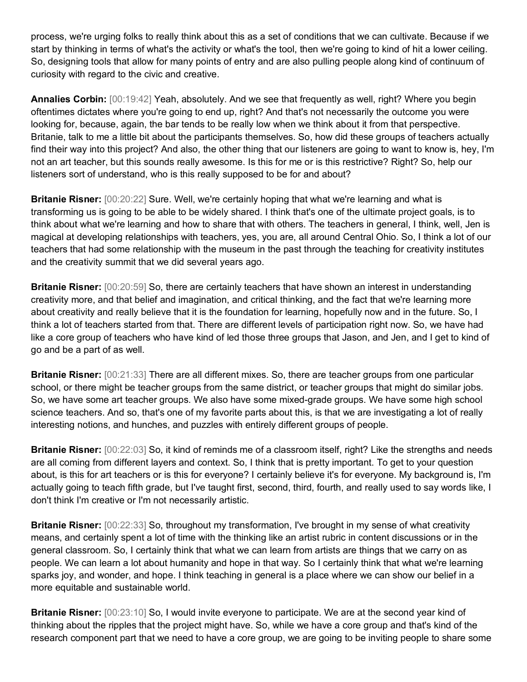process, we're urging folks to really think about this as a set of conditions that we can cultivate. Because if we start by thinking in terms of what's the activity or what's the tool, then we're going to kind of hit a lower ceiling. So, designing tools that allow for many points of entry and are also pulling people along kind of continuum of curiosity with regard to the civic and creative.

**Annalies Corbin:** [00:19:42] Yeah, absolutely. And we see that frequently as well, right? Where you begin oftentimes dictates where you're going to end up, right? And that's not necessarily the outcome you were looking for, because, again, the bar tends to be really low when we think about it from that perspective. Britanie, talk to me a little bit about the participants themselves. So, how did these groups of teachers actually find their way into this project? And also, the other thing that our listeners are going to want to know is, hey, I'm not an art teacher, but this sounds really awesome. Is this for me or is this restrictive? Right? So, help our listeners sort of understand, who is this really supposed to be for and about?

**Britanie Risner:** [00:20:22] Sure. Well, we're certainly hoping that what we're learning and what is transforming us is going to be able to be widely shared. I think that's one of the ultimate project goals, is to think about what we're learning and how to share that with others. The teachers in general, I think, well, Jen is magical at developing relationships with teachers, yes, you are, all around Central Ohio. So, I think a lot of our teachers that had some relationship with the museum in the past through the teaching for creativity institutes and the creativity summit that we did several years ago.

**Britanie Risner:** [00:20:59] So, there are certainly teachers that have shown an interest in understanding creativity more, and that belief and imagination, and critical thinking, and the fact that we're learning more about creativity and really believe that it is the foundation for learning, hopefully now and in the future. So, I think a lot of teachers started from that. There are different levels of participation right now. So, we have had like a core group of teachers who have kind of led those three groups that Jason, and Jen, and I get to kind of go and be a part of as well.

**Britanie Risner:** [00:21:33] There are all different mixes. So, there are teacher groups from one particular school, or there might be teacher groups from the same district, or teacher groups that might do similar jobs. So, we have some art teacher groups. We also have some mixed-grade groups. We have some high school science teachers. And so, that's one of my favorite parts about this, is that we are investigating a lot of really interesting notions, and hunches, and puzzles with entirely different groups of people.

**Britanie Risner:** [00:22:03] So, it kind of reminds me of a classroom itself, right? Like the strengths and needs are all coming from different layers and context. So, I think that is pretty important. To get to your question about, is this for art teachers or is this for everyone? I certainly believe it's for everyone. My background is, I'm actually going to teach fifth grade, but I've taught first, second, third, fourth, and really used to say words like, I don't think I'm creative or I'm not necessarily artistic.

**Britanie Risner:** [00:22:33] So, throughout my transformation, I've brought in my sense of what creativity means, and certainly spent a lot of time with the thinking like an artist rubric in content discussions or in the general classroom. So, I certainly think that what we can learn from artists are things that we carry on as people. We can learn a lot about humanity and hope in that way. So I certainly think that what we're learning sparks joy, and wonder, and hope. I think teaching in general is a place where we can show our belief in a more equitable and sustainable world.

**Britanie Risner:** [00:23:10] So, I would invite everyone to participate. We are at the second year kind of thinking about the ripples that the project might have. So, while we have a core group and that's kind of the research component part that we need to have a core group, we are going to be inviting people to share some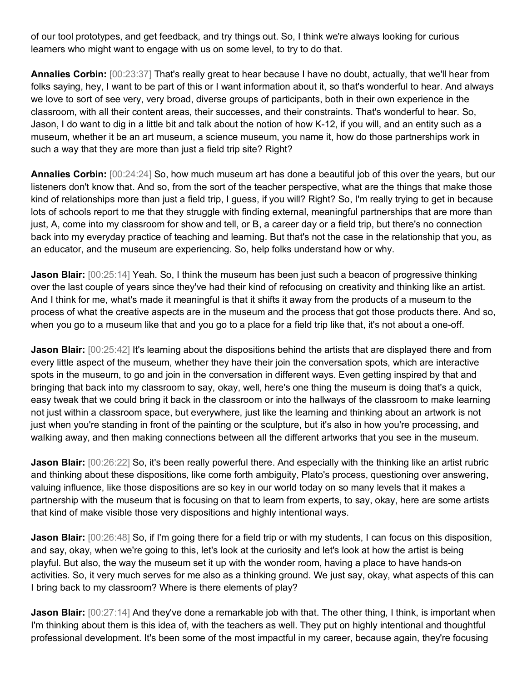of our tool prototypes, and get feedback, and try things out. So, I think we're always looking for curious learners who might want to engage with us on some level, to try to do that.

**Annalies Corbin:** [00:23:37] That's really great to hear because I have no doubt, actually, that we'll hear from folks saying, hey, I want to be part of this or I want information about it, so that's wonderful to hear. And always we love to sort of see very, very broad, diverse groups of participants, both in their own experience in the classroom, with all their content areas, their successes, and their constraints. That's wonderful to hear. So, Jason, I do want to dig in a little bit and talk about the notion of how K-12, if you will, and an entity such as a museum, whether it be an art museum, a science museum, you name it, how do those partnerships work in such a way that they are more than just a field trip site? Right?

**Annalies Corbin:** [00:24:24] So, how much museum art has done a beautiful job of this over the years, but our listeners don't know that. And so, from the sort of the teacher perspective, what are the things that make those kind of relationships more than just a field trip, I guess, if you will? Right? So, I'm really trying to get in because lots of schools report to me that they struggle with finding external, meaningful partnerships that are more than just, A, come into my classroom for show and tell, or B, a career day or a field trip, but there's no connection back into my everyday practice of teaching and learning. But that's not the case in the relationship that you, as an educator, and the museum are experiencing. So, help folks understand how or why.

**Jason Blair:**  $[00:25:14]$  Yeah. So, I think the museum has been just such a beacon of progressive thinking over the last couple of years since they've had their kind of refocusing on creativity and thinking like an artist. And I think for me, what's made it meaningful is that it shifts it away from the products of a museum to the process of what the creative aspects are in the museum and the process that got those products there. And so, when you go to a museum like that and you go to a place for a field trip like that, it's not about a one-off.

**Jason Blair:** [00:25:42] It's learning about the dispositions behind the artists that are displayed there and from every little aspect of the museum, whether they have their join the conversation spots, which are interactive spots in the museum, to go and join in the conversation in different ways. Even getting inspired by that and bringing that back into my classroom to say, okay, well, here's one thing the museum is doing that's a quick, easy tweak that we could bring it back in the classroom or into the hallways of the classroom to make learning not just within a classroom space, but everywhere, just like the learning and thinking about an artwork is not just when you're standing in front of the painting or the sculpture, but it's also in how you're processing, and walking away, and then making connections between all the different artworks that you see in the museum.

**Jason Blair:** [00:26:22] So, it's been really powerful there. And especially with the thinking like an artist rubric and thinking about these dispositions, like come forth ambiguity, Plato's process, questioning over answering, valuing influence, like those dispositions are so key in our world today on so many levels that it makes a partnership with the museum that is focusing on that to learn from experts, to say, okay, here are some artists that kind of make visible those very dispositions and highly intentional ways.

**Jason Blair:**  $[00:26:48]$  So, if I'm going there for a field trip or with my students, I can focus on this disposition, and say, okay, when we're going to this, let's look at the curiosity and let's look at how the artist is being playful. But also, the way the museum set it up with the wonder room, having a place to have hands-on activities. So, it very much serves for me also as a thinking ground. We just say, okay, what aspects of this can I bring back to my classroom? Where is there elements of play?

**Jason Blair:** [00:27:14] And they've done a remarkable job with that. The other thing, I think, is important when I'm thinking about them is this idea of, with the teachers as well. They put on highly intentional and thoughtful professional development. It's been some of the most impactful in my career, because again, they're focusing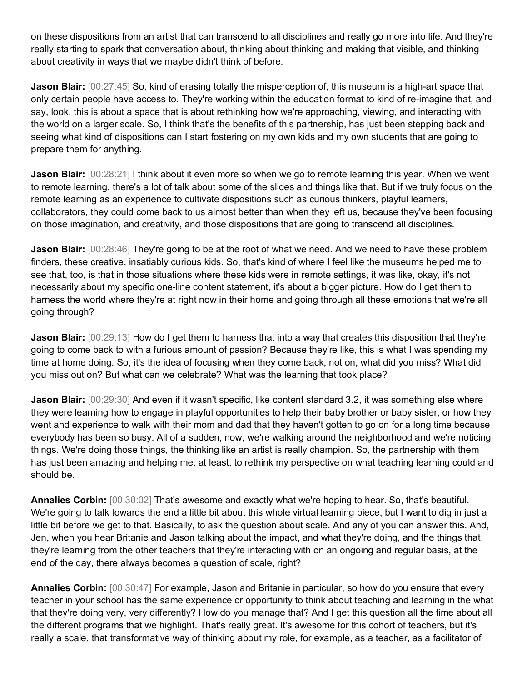on these dispositions from an artist that can transcend to all disciplines and really go more into life. And they're really starting to spark that conversation about, thinking about thinking and making that visible, and thinking about creativity in ways that we maybe didn't think of before.

**Jason Blair:**  $[00:27:45]$  So, kind of erasing totally the misperception of, this museum is a high-art space that only certain people have access to. They're working within the education format to kind of re-imagine that, and say, look, this is about a space that is about rethinking how we're approaching, viewing, and interacting with the world on a larger scale. So, I think that's the benefits of this partnership, has just been stepping back and seeing what kind of dispositions can I start fostering on my own kids and my own students that are going to prepare them for anything.

**Jason Blair:** [00:28:21] I think about it even more so when we go to remote learning this year. When we went to remote learning, there's a lot of talk about some of the slides and things like that. But if we truly focus on the remote learning as an experience to cultivate dispositions such as curious thinkers, playful learners, collaborators, they could come back to us almost better than when they left us, because they've been focusing on those imagination, and creativity, and those dispositions that are going to transcend all disciplines.

**Jason Blair:**  $[00:28:46]$  They're going to be at the root of what we need. And we need to have these problem finders, these creative, insatiably curious kids. So, that's kind of where I feel like the museums helped me to see that, too, is that in those situations where these kids were in remote settings, it was like, okay, it's not necessarily about my specific one-line content statement, it's about a bigger picture. How do I get them to harness the world where they're at right now in their home and going through all these emotions that we're all going through?

**Jason Blair:**  $[00:29:13]$  How do I get them to harness that into a way that creates this disposition that they're going to come back to with a furious amount of passion? Because they're like, this is what I was spending my time at home doing. So, it's the idea of focusing when they come back, not on, what did you miss? What did you miss out on? But what can we celebrate? What was the learning that took place?

**Jason Blair:** [00:29:30] And even if it wasn't specific, like content standard 3.2, it was something else where they were learning how to engage in playful opportunities to help their baby brother or baby sister, or how they went and experience to walk with their mom and dad that they haven't gotten to go on for a long time because everybody has been so busy. All of a sudden, now, we're walking around the neighborhood and we're noticing things. We're doing those things, the thinking like an artist is really champion. So, the partnership with them has just been amazing and helping me, at least, to rethink my perspective on what teaching learning could and should be.

**Annalies Corbin:** [00:30:02] That's awesome and exactly what we're hoping to hear. So, that's beautiful. We're going to talk towards the end a little bit about this whole virtual learning piece, but I want to dig in just a little bit before we get to that. Basically, to ask the question about scale. And any of you can answer this. And, Jen, when you hear Britanie and Jason talking about the impact, and what they're doing, and the things that they're learning from the other teachers that they're interacting with on an ongoing and regular basis, at the end of the day, there always becomes a question of scale, right?

**Annalies Corbin:** [00:30:47] For example, Jason and Britanie in particular, so how do you ensure that every teacher in your school has the same experience or opportunity to think about teaching and learning in the what that they're doing very, very differently? How do you manage that? And I get this question all the time about all the different programs that we highlight. That's really great. It's awesome for this cohort of teachers, but it's really a scale, that transformative way of thinking about my role, for example, as a teacher, as a facilitator of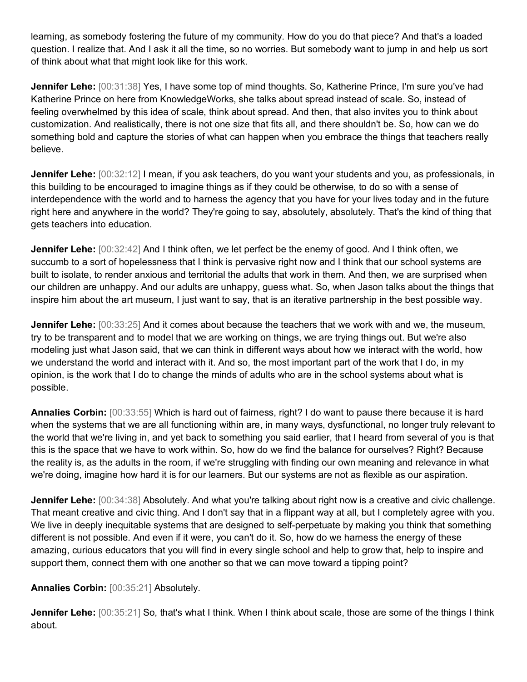learning, as somebody fostering the future of my community. How do you do that piece? And that's a loaded question. I realize that. And I ask it all the time, so no worries. But somebody want to jump in and help us sort of think about what that might look like for this work.

**Jennifer Lehe:** [00:31:38] Yes, I have some top of mind thoughts. So, Katherine Prince, I'm sure you've had Katherine Prince on here from KnowledgeWorks, she talks about spread instead of scale. So, instead of feeling overwhelmed by this idea of scale, think about spread. And then, that also invites you to think about customization. And realistically, there is not one size that fits all, and there shouldn't be. So, how can we do something bold and capture the stories of what can happen when you embrace the things that teachers really believe.

**Jennifer Lehe:**  $[00:32:12]$  I mean, if you ask teachers, do you want your students and you, as professionals, in this building to be encouraged to imagine things as if they could be otherwise, to do so with a sense of interdependence with the world and to harness the agency that you have for your lives today and in the future right here and anywhere in the world? They're going to say, absolutely, absolutely. That's the kind of thing that gets teachers into education.

**Jennifer Lehe:** [00:32:42] And I think often, we let perfect be the enemy of good. And I think often, we succumb to a sort of hopelessness that I think is pervasive right now and I think that our school systems are built to isolate, to render anxious and territorial the adults that work in them. And then, we are surprised when our children are unhappy. And our adults are unhappy, guess what. So, when Jason talks about the things that inspire him about the art museum, I just want to say, that is an iterative partnership in the best possible way.

**Jennifer Lehe:** [00:33:25] And it comes about because the teachers that we work with and we, the museum, try to be transparent and to model that we are working on things, we are trying things out. But we're also modeling just what Jason said, that we can think in different ways about how we interact with the world, how we understand the world and interact with it. And so, the most important part of the work that I do, in my opinion, is the work that I do to change the minds of adults who are in the school systems about what is possible.

**Annalies Corbin:** [00:33:55] Which is hard out of fairness, right? I do want to pause there because it is hard when the systems that we are all functioning within are, in many ways, dysfunctional, no longer truly relevant to the world that we're living in, and yet back to something you said earlier, that I heard from several of you is that this is the space that we have to work within. So, how do we find the balance for ourselves? Right? Because the reality is, as the adults in the room, if we're struggling with finding our own meaning and relevance in what we're doing, imagine how hard it is for our learners. But our systems are not as flexible as our aspiration.

**Jennifer Lehe:** [00:34:38] Absolutely. And what you're talking about right now is a creative and civic challenge. That meant creative and civic thing. And I don't say that in a flippant way at all, but I completely agree with you. We live in deeply inequitable systems that are designed to self-perpetuate by making you think that something different is not possible. And even if it were, you can't do it. So, how do we harness the energy of these amazing, curious educators that you will find in every single school and help to grow that, help to inspire and support them, connect them with one another so that we can move toward a tipping point?

## **Annalies Corbin:** [00:35:21] Absolutely.

**Jennifer Lehe:**  $[00:35:21]$  So, that's what I think. When I think about scale, those are some of the things I think about.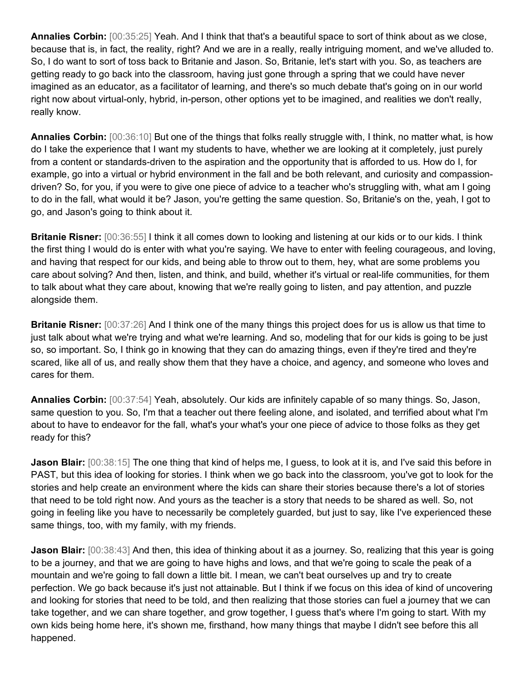**Annalies Corbin:** [00:35:25] Yeah. And I think that that's a beautiful space to sort of think about as we close, because that is, in fact, the reality, right? And we are in a really, really intriguing moment, and we've alluded to. So, I do want to sort of toss back to Britanie and Jason. So, Britanie, let's start with you. So, as teachers are getting ready to go back into the classroom, having just gone through a spring that we could have never imagined as an educator, as a facilitator of learning, and there's so much debate that's going on in our world right now about virtual-only, hybrid, in-person, other options yet to be imagined, and realities we don't really, really know.

**Annalies Corbin:** [00:36:10] But one of the things that folks really struggle with, I think, no matter what, is how do I take the experience that I want my students to have, whether we are looking at it completely, just purely from a content or standards-driven to the aspiration and the opportunity that is afforded to us. How do I, for example, go into a virtual or hybrid environment in the fall and be both relevant, and curiosity and compassiondriven? So, for you, if you were to give one piece of advice to a teacher who's struggling with, what am I going to do in the fall, what would it be? Jason, you're getting the same question. So, Britanie's on the, yeah, I got to go, and Jason's going to think about it.

**Britanie Risner:** [00:36:55] I think it all comes down to looking and listening at our kids or to our kids. I think the first thing I would do is enter with what you're saying. We have to enter with feeling courageous, and loving, and having that respect for our kids, and being able to throw out to them, hey, what are some problems you care about solving? And then, listen, and think, and build, whether it's virtual or real-life communities, for them to talk about what they care about, knowing that we're really going to listen, and pay attention, and puzzle alongside them.

**Britanie Risner:** [00:37:26] And I think one of the many things this project does for us is allow us that time to just talk about what we're trying and what we're learning. And so, modeling that for our kids is going to be just so, so important. So, I think go in knowing that they can do amazing things, even if they're tired and they're scared, like all of us, and really show them that they have a choice, and agency, and someone who loves and cares for them.

**Annalies Corbin:** [00:37:54] Yeah, absolutely. Our kids are infinitely capable of so many things. So, Jason, same question to you. So, I'm that a teacher out there feeling alone, and isolated, and terrified about what I'm about to have to endeavor for the fall, what's your what's your one piece of advice to those folks as they get ready for this?

**Jason Blair:** [00:38:15] The one thing that kind of helps me, I guess, to look at it is, and I've said this before in PAST, but this idea of looking for stories. I think when we go back into the classroom, you've got to look for the stories and help create an environment where the kids can share their stories because there's a lot of stories that need to be told right now. And yours as the teacher is a story that needs to be shared as well. So, not going in feeling like you have to necessarily be completely guarded, but just to say, like I've experienced these same things, too, with my family, with my friends.

**Jason Blair:** [00:38:43] And then, this idea of thinking about it as a journey. So, realizing that this year is going to be a journey, and that we are going to have highs and lows, and that we're going to scale the peak of a mountain and we're going to fall down a little bit. I mean, we can't beat ourselves up and try to create perfection. We go back because it's just not attainable. But I think if we focus on this idea of kind of uncovering and looking for stories that need to be told, and then realizing that those stories can fuel a journey that we can take together, and we can share together, and grow together, I guess that's where I'm going to start. With my own kids being home here, it's shown me, firsthand, how many things that maybe I didn't see before this all happened.